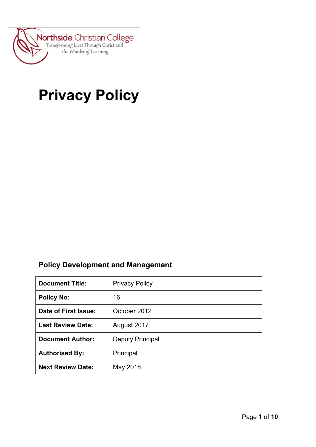

# **Privacy Policy**

## **Policy Development and Management**

| <b>Document Title:</b>   | <b>Privacy Policy</b>   |
|--------------------------|-------------------------|
| <b>Policy No:</b>        | 16                      |
| Date of First Issue:     | October 2012            |
| <b>Last Review Date:</b> | August 2017             |
| <b>Document Author:</b>  | <b>Deputy Principal</b> |
| <b>Authorised By:</b>    | Principal               |
| <b>Next Review Date:</b> | May 2018                |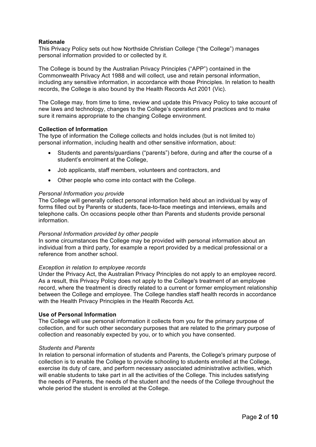## **Rationale**

This Privacy Policy sets out how Northside Christian College ("the College") manages personal information provided to or collected by it.

The College is bound by the Australian Privacy Principles ("APP") contained in the Commonwealth Privacy Act 1988 and will collect, use and retain personal information, including any sensitive information, in accordance with those Principles. In relation to health records, the College is also bound by the Health Records Act 2001 (Vic).

The College may, from time to time, review and update this Privacy Policy to take account of new laws and technology, changes to the College's operations and practices and to make sure it remains appropriate to the changing College environment.

#### **Collection of Information**

The type of information the College collects and holds includes (but is not limited to) personal information, including health and other sensitive information, about:

- Students and parents/guardians ("parents") before, during and after the course of a student's enrolment at the College,
- Job applicants, staff members, volunteers and contractors, and
- Other people who come into contact with the College.

#### *Personal Information you provide*

The College will generally collect personal information held about an individual by way of forms filled out by Parents or students, face-to-face meetings and interviews, emails and telephone calls. On occasions people other than Parents and students provide personal information.

#### *Personal Information provided by other people*

In some circumstances the College may be provided with personal information about an individual from a third party, for example a report provided by a medical professional or a reference from another school.

#### *Exception in relation to employee records*

Under the Privacy Act, the Australian Privacy Principles do not apply to an employee record. As a result, this Privacy Policy does not apply to the College's treatment of an employee record, where the treatment is directly related to a current or former employment relationship between the College and employee. The College handles staff health records in accordance with the Health Privacy Principles in the Health Records Act.

#### **Use of Personal Information**

The College will use personal information it collects from you for the primary purpose of collection, and for such other secondary purposes that are related to the primary purpose of collection and reasonably expected by you, or to which you have consented.

#### *Students and Parents*

In relation to personal information of students and Parents, the College's primary purpose of collection is to enable the College to provide schooling to students enrolled at the College, exercise its duty of care, and perform necessary associated administrative activities, which will enable students to take part in all the activities of the College. This includes satisfying the needs of Parents, the needs of the student and the needs of the College throughout the whole period the student is enrolled at the College.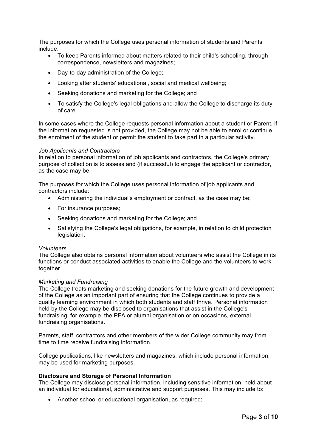The purposes for which the College uses personal information of students and Parents include:

- To keep Parents informed about matters related to their child's schooling, through correspondence, newsletters and magazines;
- Day-to-day administration of the College;
- Looking after students' educational, social and medical wellbeing;
- Seeking donations and marketing for the College; and
- To satisfy the College's legal obligations and allow the College to discharge its duty of care.

In some cases where the College requests personal information about a student or Parent, if the information requested is not provided, the College may not be able to enrol or continue the enrolment of the student or permit the student to take part in a particular activity.

#### *Job Applicants and Contractors*

In relation to personal information of job applicants and contractors, the College's primary purpose of collection is to assess and (if successful) to engage the applicant or contractor, as the case may be.

The purposes for which the College uses personal information of job applicants and contractors include:

- Administering the individual's employment or contract, as the case may be;
- For insurance purposes:
- Seeking donations and marketing for the College; and
- Satisfying the College's legal obligations, for example, in relation to child protection legislation.

#### *Volunteers*

The College also obtains personal information about volunteers who assist the College in its functions or conduct associated activities to enable the College and the volunteers to work together.

#### *Marketing and Fundraising*

The College treats marketing and seeking donations for the future growth and development of the College as an important part of ensuring that the College continues to provide a quality learning environment in which both students and staff thrive. Personal information held by the College may be disclosed to organisations that assist in the College's fundraising, for example, the PFA or alumni organisation or on occasions, external fundraising organisations.

Parents, staff, contractors and other members of the wider College community may from time to time receive fundraising information.

College publications, like newsletters and magazines, which include personal information, may be used for marketing purposes.

#### **Disclosure and Storage of Personal Information**

The College may disclose personal information, including sensitive information, held about an individual for educational, administrative and support purposes. This may include to:

• Another school or educational organisation, as required;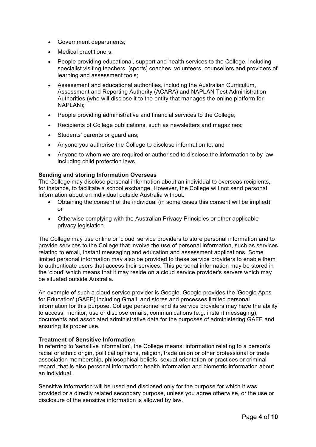- Government departments;
- Medical practitioners:
- People providing educational, support and health services to the College, including specialist visiting teachers, [sports] coaches, volunteers, counsellors and providers of learning and assessment tools;
- Assessment and educational authorities, including the Australian Curriculum, Assessment and Reporting Authority (ACARA) and NAPLAN Test Administration Authorities (who will disclose it to the entity that manages the online platform for NAPLAN);
- People providing administrative and financial services to the College;
- Recipients of College publications, such as newsletters and magazines;
- Students' parents or guardians;
- Anyone you authorise the College to disclose information to; and
- Anyone to whom we are required or authorised to disclose the information to by law, including child protection laws.

## **Sending and storing Information Overseas**

The College may disclose personal information about an individual to overseas recipients, for instance, to facilitate a school exchange. However, the College will not send personal information about an individual outside Australia without:

- Obtaining the consent of the individual (in some cases this consent will be implied); or
- Otherwise complying with the Australian Privacy Principles or other applicable privacy legislation.

The College may use online or 'cloud' service providers to store personal information and to provide services to the College that involve the use of personal information, such as services relating to email, instant messaging and education and assessment applications. Some limited personal information may also be provided to these service providers to enable them to authenticate users that access their services. This personal information may be stored in the 'cloud' which means that it may reside on a cloud service provider's servers which may be situated outside Australia.

An example of such a cloud service provider is Google. Google provides the 'Google Apps for Education' (GAFE) including Gmail, and stores and processes limited personal information for this purpose. College personnel and its service providers may have the ability to access, monitor, use or disclose emails, communications (e.g. instant messaging), documents and associated administrative data for the purposes of administering GAFE and ensuring its proper use.

## **Treatment of Sensitive Information**

In referring to 'sensitive information', the College means: information relating to a person's racial or ethnic origin, political opinions, religion, trade union or other professional or trade association membership, philosophical beliefs, sexual orientation or practices or criminal record, that is also personal information; health information and biometric information about an individual.

Sensitive information will be used and disclosed only for the purpose for which it was provided or a directly related secondary purpose, unless you agree otherwise, or the use or disclosure of the sensitive information is allowed by law.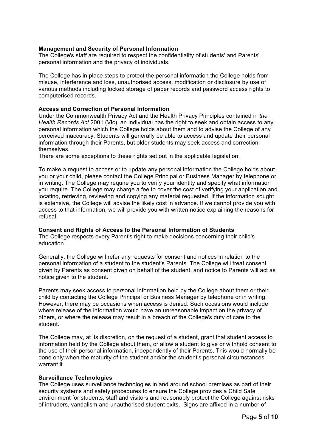## **Management and Security of Personal Information**

The College's staff are required to respect the confidentiality of students' and Parents' personal information and the privacy of individuals.

The College has in place steps to protect the personal information the College holds from misuse, interference and loss, unauthorised access, modification or disclosure by use of various methods including locked storage of paper records and password access rights to computerised records.

#### **Access and Correction of Personal Information**

Under the Commonwealth Privacy Act and the Health Privacy Principles contained in *the Health Records Act* 2001 (Vic), an individual has the right to seek and obtain access to any personal information which the College holds about them and to advise the College of any perceived inaccuracy. Students will generally be able to access and update their personal information through their Parents, but older students may seek access and correction themselves.

There are some exceptions to these rights set out in the applicable legislation.

To make a request to access or to update any personal information the College holds about you or your child, please contact the College Principal or Business Manager by telephone or in writing. The College may require you to verify your identity and specify what information you require. The College may charge a fee to cover the cost of verifying your application and locating, retrieving, reviewing and copying any material requested. If the information sought is extensive, the College will advise the likely cost in advance. If we cannot provide you with access to that information, we will provide you with written notice explaining the reasons for refusal.

## **Consent and Rights of Access to the Personal Information of Students**

The College respects every Parent's right to make decisions concerning their child's education.

Generally, the College will refer any requests for consent and notices in relation to the personal information of a student to the student's Parents. The College will treat consent given by Parents as consent given on behalf of the student, and notice to Parents will act as notice given to the student.

Parents may seek access to personal information held by the College about them or their child by contacting the College Principal or Business Manager by telephone or in writing. However, there may be occasions when access is denied. Such occasions would include where release of the information would have an unreasonable impact on the privacy of others, or where the release may result in a breach of the College's duty of care to the student.

The College may, at its discretion, on the request of a student, grant that student access to information held by the College about them, or allow a student to give or withhold consent to the use of their personal information, independently of their Parents. This would normally be done only when the maturity of the student and/or the student's personal circumstances warrant it

## **Surveillance Technologies**

The College uses surveillance technologies in and around school premises as part of their security systems and safety procedures to ensure the College provides a Child Safe environment for students, staff and visitors and reasonably protect the College against risks of intruders, vandalism and unauthorised student exits. Signs are affixed in a number of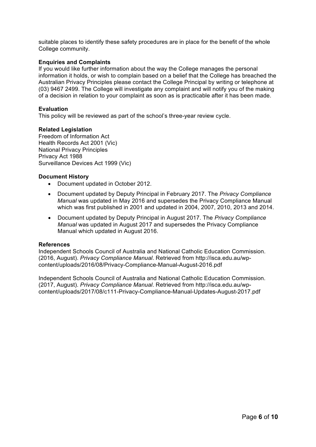suitable places to identify these safety procedures are in place for the benefit of the whole College community.

## **Enquiries and Complaints**

If you would like further information about the way the College manages the personal information it holds, or wish to complain based on a belief that the College has breached the Australian Privacy Principles please contact the College Principal by writing or telephone at (03) 9467 2499. The College will investigate any complaint and will notify you of the making of a decision in relation to your complaint as soon as is practicable after it has been made.

#### **Evaluation**

This policy will be reviewed as part of the school's three-year review cycle.

## **Related Legislation**

Freedom of Information Act Health Records Act 2001 (Vic) National Privacy Principles Privacy Act 1988 Surveillance Devices Act 1999 (Vic)

## **Document History**

- Document updated in October 2012.
- Document updated by Deputy Principal in February 2017. The *Privacy Compliance Manual* was updated in May 2016 and supersedes the Privacy Compliance Manual which was first published in 2001 and updated in 2004, 2007, 2010, 2013 and 2014.
- Document updated by Deputy Principal in August 2017. The *Privacy Compliance Manual* was updated in August 2017 and supersedes the Privacy Compliance Manual which updated in August 2016.

#### **References**

Independent Schools Council of Australia and National Catholic Education Commission. (2016, August). *Privacy Compliance Manual*. Retrieved from http://isca.edu.au/wpcontent/uploads/2016/08/Privacy-Compliance-Manual-August-2016.pdf

Independent Schools Council of Australia and National Catholic Education Commission. (2017, August). *Privacy Compliance Manual*. Retrieved from http://isca.edu.au/wpcontent/uploads/2017/08/c111-Privacy-Compliance-Manual-Updates-August-2017.pdf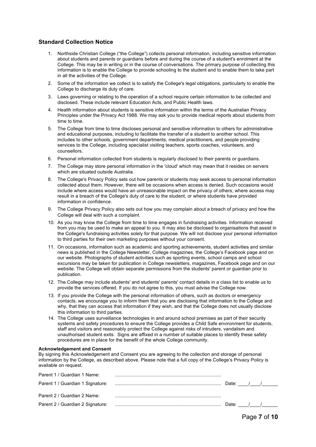#### **Standard Collection Notice**

- 1. Northside Christian College ("the College") collects personal information, including sensitive information about students and parents or guardians before and during the course of a student's enrolment at the College. This may be in writing or in the course of conversations. The primary purpose of collecting this information is to enable the College to provide schooling to the student and to enable them to take part in all the activities of the College.
- 2. Some of the information we collect is to satisfy the College's legal obligations, particularly to enable the College to discharge its duty of care.
- 3. Laws governing or relating to the operation of a school require certain information to be collected and disclosed. These include relevant Education Acts, and Public Health laws.
- 4. Health information about students is sensitive information within the terms of the Australian Privacy Principles under the Privacy Act 1988. We may ask you to provide medical reports about students from time to time.
- 5. The College from time to time discloses personal and sensitive information to others for administrative and educational purposes, including to facilitate the transfer of a student to another school. This includes to other schools, government departments, medical practitioners, and people providing services to the College, including specialist visiting teachers, sports coaches, volunteers, and counsellors.
- 6. Personal information collected from students is regularly disclosed to their parents or guardians.
- 7. The College may store personal information in the 'cloud' which may mean that it resides on servers which are situated outside Australia.
- 8. The College's Privacy Policy sets out how parents or students may seek access to personal information collected about them. However, there will be occasions when access is denied. Such occasions would include where access would have an unreasonable impact on the privacy of others, where access may result in a breach of the College's duty of care to the student, or where students have provided information in confidence.
- 9. The College Privacy Policy also sets out how you may complain about a breach of privacy and how the College will deal with such a complaint.
- 10. As you may know the College from time to time engages in fundraising activities. Information received from you may be used to make an appeal to you. It may also be disclosed to organisations that assist in the College's fundraising activities solely for that purpose. We will not disclose your personal information to third parties for their own marketing purposes without your consent.
- 11. On occasions, information such as academic and sporting achievements, student activities and similar news is published in the College Newsletter, College magazines, the College's Facebook page and on our website. Photographs of student activities such as sporting events, school camps and school excursions may be taken for publication in College newsletters, magazines, Facebook page and on our website. The College will obtain separate permissions from the students' parent or guardian prior to publication.
- 12. The College may include students' and students' parents' contact details in a class list to enable us to provide the services offered. If you do not agree to this, you must advise the College now.
- 13. If you provide the College with the personal information of others, such as doctors or emergency contacts, we encourage you to inform them that you are disclosing that information to the College and why, that they can access that information if they wish, and that the College does not usually disclose this information to third parties.
- 14. The College uses surveillance technologies in and around school premises as part of their security systems and safety procedures to ensure the College provides a Child Safe environment for students, staff and visitors and reasonably protect the College against risks of intruders, vandalism and unauthorised student exits. Signs are affixed in a number of suitable places to identify these safety procedures are in place for the benefit of the whole College community.

#### **Acknowledgement and Consent**

By signing this Acknowledgement and Consent you are agreeing to the collection and storage of personal information by the College, as described above. Please note that a full copy of the College's Privacy Policy is available on request.

| Parent 1 / Guardian 1 Name:      |           |  |
|----------------------------------|-----------|--|
|                                  | Date: / / |  |
|                                  |           |  |
| Parent 2 / Guardian 2 Name:      |           |  |
| Parent 2 / Guardian 2 Signature: | Date: / / |  |
|                                  |           |  |

Page **7** of **10**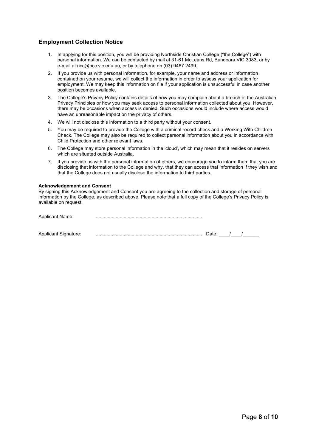## **Employment Collection Notice**

- 1. In applying for this position, you will be providing Northside Christian College ("the College") with personal information. We can be contacted by mail at 31-61 McLeans Rd, Bundoora VIC 3083, or by e-mail at ncc@ncc.vic.edu.au, or by telephone on (03) 9467 2499.
- 2. If you provide us with personal information, for example, your name and address or information contained on your resume, we will collect the information in order to assess your application for employment. We may keep this information on file if your application is unsuccessful in case another position becomes available.
- 3. The College's Privacy Policy contains details of how you may complain about a breach of the Australian Privacy Principles or how you may seek access to personal information collected about you. However, there may be occasions when access is denied. Such occasions would include where access would have an unreasonable impact on the privacy of others.
- 4. We will not disclose this information to a third party without your consent.
- 5. You may be required to provide the College with a criminal record check and a Working With Children Check. The College may also be required to collect personal information about you in accordance with Child Protection and other relevant laws.
- 6. The College may store personal information in the 'cloud', which may mean that it resides on servers which are situated outside Australia.
- 7. If you provide us with the personal information of others, we encourage you to inform them that you are disclosing that information to the College and why, that they can access that information if they wish and that the College does not usually disclose the information to third parties.

#### **Acknowledgement and Consent**

By signing this Acknowledgement and Consent you are agreeing to the collection and storage of personal information by the College, as described above. Please note that a full copy of the College's Privacy Policy is available on request.

| <b>Applicant Name:</b> |       |  |  |
|------------------------|-------|--|--|
|                        |       |  |  |
| Applicant Signature:   | Date: |  |  |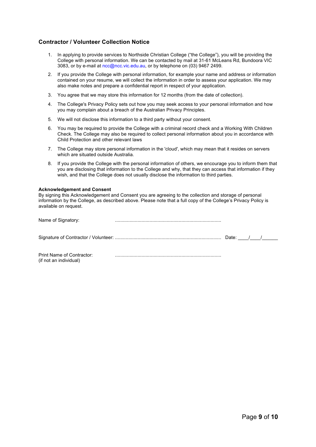#### **Contractor / Volunteer Collection Notice**

- 1. In applying to provide services to Northside Christian College ("the College"), you will be providing the College with personal information. We can be contacted by mail at 31-61 McLeans Rd, Bundoora VIC 3083, or by e-mail at ncc@ncc.vic.edu.au, or by telephone on (03) 9467 2499.
- 2. If you provide the College with personal information, for example your name and address or information contained on your resume, we will collect the information in order to assess your application. We may also make notes and prepare a confidential report in respect of your application.
- 3. You agree that we may store this information for 12 months (from the date of collection).
- 4. The College's Privacy Policy sets out how you may seek access to your personal information and how you may complain about a breach of the Australian Privacy Principles.
- 5. We will not disclose this information to a third party without your consent.
- 6. You may be required to provide the College with a criminal record check and a Working With Children Check. The College may also be required to collect personal information about you in accordance with Child Protection and other relevant laws
- 7. The College may store personal information in the 'cloud', which may mean that it resides on servers which are situated outside Australia.
- 8. If you provide the College with the personal information of others, we encourage you to inform them that you are disclosing that information to the College and why, that they can access that information if they wish, and that the College does not usually disclose the information to third parties.

#### **Acknowledgement and Consent**

By signing this Acknowledgement and Consent you are agreeing to the collection and storage of personal information by the College, as described above. Please note that a full copy of the College's Privacy Policy is available on request.

| Name of Signatory:                                  |             |  |  |
|-----------------------------------------------------|-------------|--|--|
|                                                     | Date: $/$ / |  |  |
| Print Name of Contractor:<br>(if not an individual) |             |  |  |